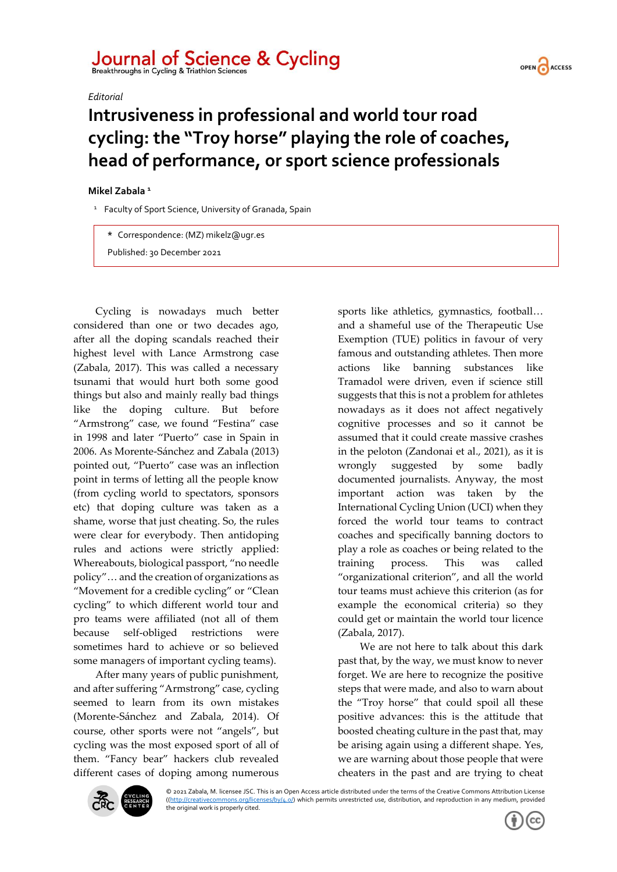## Journal of Science & Cycling

*Editorial*



## **Intrusiveness in professional and world tour road cycling: the "Troy horse" playing the role of coaches, head of performance, or sport science professionals**

## **Mikel Zabala <sup>1</sup>**

<sup>1</sup> Faculty of Sport Science, University of Granada, Spain

**\*** Correspondence: (MZ) mikelz@ugr.es

Published: 30 December 2021

Cycling is nowadays much better considered than one or two decades ago, after all the doping scandals reached their highest level with Lance Armstrong case (Zabala, 2017). This was called a necessary tsunami that would hurt both some good things but also and mainly really bad things like the doping culture. But before "Armstrong" case, we found "Festina" case in 1998 and later "Puerto" case in Spain in 2006. As Morente-Sánchez and Zabala (2013) pointed out, "Puerto" case was an inflection point in terms of letting all the people know (from cycling world to spectators, sponsors etc) that doping culture was taken as a shame, worse that just cheating. So, the rules were clear for everybody. Then antidoping rules and actions were strictly applied: Whereabouts, biological passport, "no needle policy"… and the creation of organizations as "Movement for a credible cycling" or "Clean cycling" to which different world tour and pro teams were affiliated (not all of them because self-obliged restrictions were sometimes hard to achieve or so believed some managers of important cycling teams).

After many years of public punishment, and after suffering "Armstrong" case, cycling seemed to learn from its own mistakes (Morente-Sánchez and Zabala, 2014). Of course, other sports were not "angels", but cycling was the most exposed sport of all of them. "Fancy bear" hackers club revealed different cases of doping among numerous sports like athletics, gymnastics, football… and a shameful use of the Therapeutic Use Exemption (TUE) politics in favour of very famous and outstanding athletes. Then more actions like banning substances like Tramadol were driven, even if science still suggests that this is not a problem for athletes nowadays as it does not affect negatively cognitive processes and so it cannot be assumed that it could create massive crashes in the peloton (Zandonai et al., 2021), as it is wrongly suggested by some badly documented journalists. Anyway, the most important action was taken by the International Cycling Union (UCI) when they forced the world tour teams to contract coaches and specifically banning doctors to play a role as coaches or being related to the training process. This was called "organizational criterion", and all the world tour teams must achieve this criterion (as for example the economical criteria) so they could get or maintain the world tour licence (Zabala, 2017).

We are not here to talk about this dark past that, by the way, we must know to never forget. We are here to recognize the positive steps that were made, and also to warn about the "Troy horse" that could spoil all these positive advances: this is the attitude that boosted cheating culture in the past that, may be arising again using a different shape. Yes, we are warning about those people that were cheaters in the past and are trying to cheat



© 2021 Zabala, M. licensee JSC. This is an Open Access article distributed under the terms of the Creative Commons Attribution License [\(\(http://creativecommons.org/licenses/by/4.0/\)](http://creativecommons.org/licenses/by/4.0/) which permits unrestricted use, distribution, and reproduction in any medium, provided the original work is properly cited.